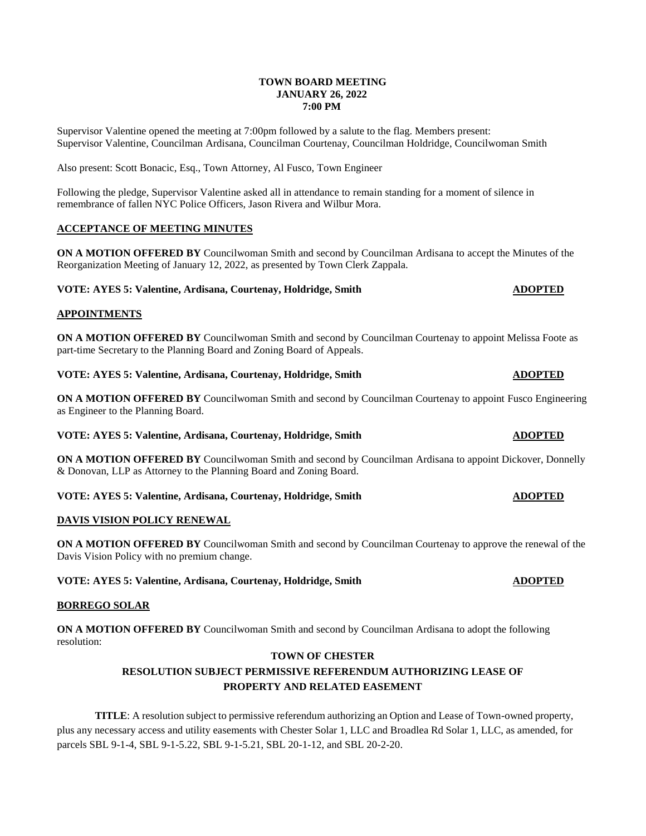### **TOWN BOARD MEETING JANUARY 26, 2022 7:00 PM**

Supervisor Valentine opened the meeting at 7:00pm followed by a salute to the flag. Members present: Supervisor Valentine, Councilman Ardisana, Councilman Courtenay, Councilman Holdridge, Councilwoman Smith

Also present: Scott Bonacic, Esq., Town Attorney, Al Fusco, Town Engineer

Following the pledge, Supervisor Valentine asked all in attendance to remain standing for a moment of silence in remembrance of fallen NYC Police Officers, Jason Rivera and Wilbur Mora.

# **ACCEPTANCE OF MEETING MINUTES**

**ON A MOTION OFFERED BY** Councilwoman Smith and second by Councilman Ardisana to accept the Minutes of the Reorganization Meeting of January 12, 2022, as presented by Town Clerk Zappala.

### **VOTE: AYES 5: Valentine, Ardisana, Courtenay, Holdridge, Smith <b>ADOPTED ADOPTED**

# **APPOINTMENTS**

**ON A MOTION OFFERED BY** Councilwoman Smith and second by Councilman Courtenay to appoint Melissa Foote as part-time Secretary to the Planning Board and Zoning Board of Appeals.

**VOTE: AYES 5: Valentine, Ardisana, Courtenay, Holdridge, Smith ADOPTED** 

**ON A MOTION OFFERED BY** Councilwoman Smith and second by Councilman Courtenay to appoint Fusco Engineering as Engineer to the Planning Board.

**VOTE: AYES 5: Valentine, Ardisana, Courtenay, Holdridge, Smith <b>ADOPTED ADOPTED** 

**ON A MOTION OFFERED BY** Councilwoman Smith and second by Councilman Ardisana to appoint Dickover, Donnelly & Donovan, LLP as Attorney to the Planning Board and Zoning Board.

**VOTE: AYES 5: Valentine, Ardisana, Courtenay, Holdridge, Smith <b>ADOPTED ADOPTED** 

# **DAVIS VISION POLICY RENEWAL**

**ON A MOTION OFFERED BY** Councilwoman Smith and second by Councilman Courtenay to approve the renewal of the Davis Vision Policy with no premium change.

# **VOTE: AYES 5: Valentine, Ardisana, Courtenay, Holdridge, Smith ADOPTED**

#### **BORREGO SOLAR**

**ON A MOTION OFFERED BY** Councilwoman Smith and second by Councilman Ardisana to adopt the following resolution:

# **TOWN OF CHESTER**

# **RESOLUTION SUBJECT PERMISSIVE REFERENDUM AUTHORIZING LEASE OF PROPERTY AND RELATED EASEMENT**

**TITLE**: A resolution subject to permissive referendum authorizing an Option and Lease of Town-owned property, plus any necessary access and utility easements with Chester Solar 1, LLC and Broadlea Rd Solar 1, LLC, as amended, for parcels SBL 9-1-4, SBL 9-1-5.22, SBL 9-1-5.21, SBL 20-1-12, and SBL 20-2-20.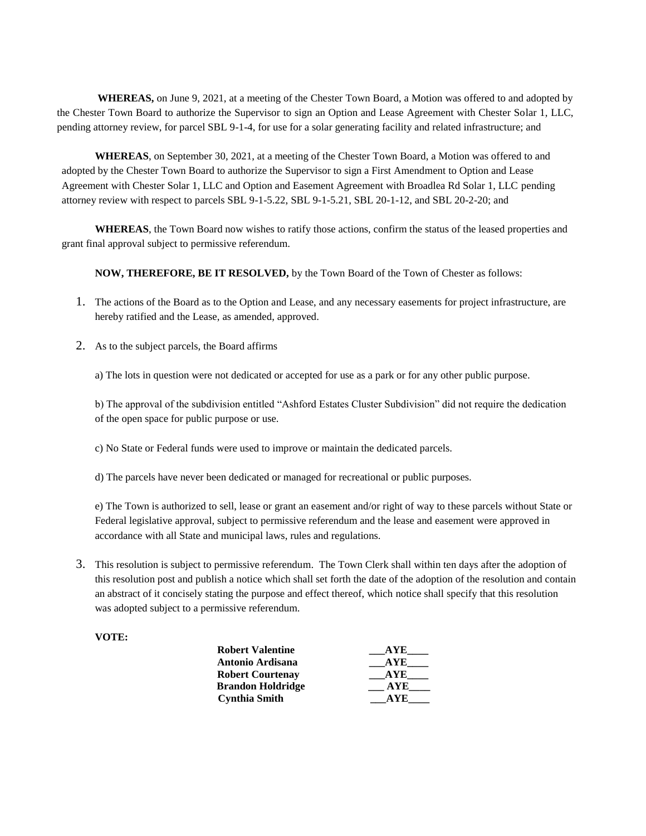**WHEREAS,** on June 9, 2021, at a meeting of the Chester Town Board, a Motion was offered to and adopted by the Chester Town Board to authorize the Supervisor to sign an Option and Lease Agreement with Chester Solar 1, LLC, pending attorney review, for parcel SBL 9-1-4, for use for a solar generating facility and related infrastructure; and

**WHEREAS**, on September 30, 2021, at a meeting of the Chester Town Board, a Motion was offered to and adopted by the Chester Town Board to authorize the Supervisor to sign a First Amendment to Option and Lease Agreement with Chester Solar 1, LLC and Option and Easement Agreement with Broadlea Rd Solar 1, LLC pending attorney review with respect to parcels SBL 9-1-5.22, SBL 9-1-5.21, SBL 20-1-12, and SBL 20-2-20; and

**WHEREAS**, the Town Board now wishes to ratify those actions, confirm the status of the leased properties and grant final approval subject to permissive referendum.

**NOW, THEREFORE, BE IT RESOLVED,** by the Town Board of the Town of Chester as follows:

- 1. The actions of the Board as to the Option and Lease, and any necessary easements for project infrastructure, are hereby ratified and the Lease, as amended, approved.
- 2. As to the subject parcels, the Board affirms

a) The lots in question were not dedicated or accepted for use as a park or for any other public purpose.

b) The approval of the subdivision entitled "Ashford Estates Cluster Subdivision" did not require the dedication of the open space for public purpose or use.

- c) No State or Federal funds were used to improve or maintain the dedicated parcels.
- d) The parcels have never been dedicated or managed for recreational or public purposes.

e) The Town is authorized to sell, lease or grant an easement and/or right of way to these parcels without State or Federal legislative approval, subject to permissive referendum and the lease and easement were approved in accordance with all State and municipal laws, rules and regulations.

3. This resolution is subject to permissive referendum. The Town Clerk shall within ten days after the adoption of this resolution post and publish a notice which shall set forth the date of the adoption of the resolution and contain an abstract of it concisely stating the purpose and effect thereof, which notice shall specify that this resolution was adopted subject to a permissive referendum.

### **VOTE:**

| <b>Robert Valentine</b>  | A V E |
|--------------------------|-------|
| Antonio Ardisana         | A YE  |
| <b>Robert Courtenay</b>  | A VE. |
| <b>Brandon Holdridge</b> | A VE. |
| <b>Cynthia Smith</b>     |       |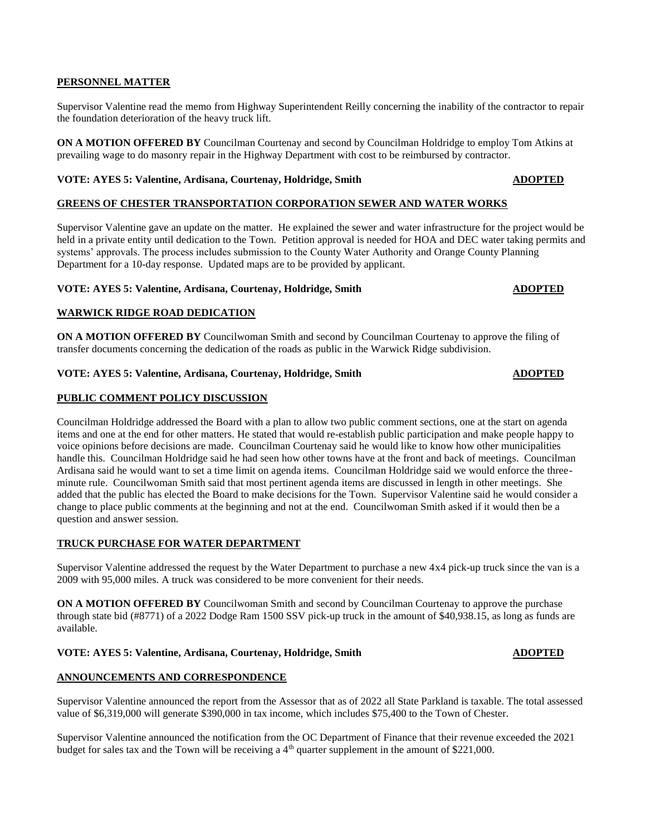### **PERSONNEL MATTER**

Supervisor Valentine read the memo from Highway Superintendent Reilly concerning the inability of the contractor to repair the foundation deterioration of the heavy truck lift.

**ON A MOTION OFFERED BY** Councilman Courtenay and second by Councilman Holdridge to employ Tom Atkins at prevailing wage to do masonry repair in the Highway Department with cost to be reimbursed by contractor.

# **VOTE: AYES 5: Valentine, Ardisana, Courtenay, Holdridge, Smith ADOPTED**

#### **GREENS OF CHESTER TRANSPORTATION CORPORATION SEWER AND WATER WORKS**

Supervisor Valentine gave an update on the matter. He explained the sewer and water infrastructure for the project would be held in a private entity until dedication to the Town. Petition approval is needed for HOA and DEC water taking permits and systems' approvals. The process includes submission to the County Water Authority and Orange County Planning Department for a 10-day response. Updated maps are to be provided by applicant.

#### **VOTE: AYES 5: Valentine, Ardisana, Courtenay, Holdridge, Smith ADOPTED**

## **WARWICK RIDGE ROAD DEDICATION**

**ON A MOTION OFFERED BY** Councilwoman Smith and second by Councilman Courtenay to approve the filing of transfer documents concerning the dedication of the roads as public in the Warwick Ridge subdivision.

#### **VOTE: AYES 5: Valentine, Ardisana, Courtenay, Holdridge, Smith ADOPTED ADOPTED**

### **PUBLIC COMMENT POLICY DISCUSSION**

Councilman Holdridge addressed the Board with a plan to allow two public comment sections, one at the start on agenda items and one at the end for other matters. He stated that would re-establish public participation and make people happy to voice opinions before decisions are made. Councilman Courtenay said he would like to know how other municipalities handle this. Councilman Holdridge said he had seen how other towns have at the front and back of meetings. Councilman Ardisana said he would want to set a time limit on agenda items. Councilman Holdridge said we would enforce the threeminute rule. Councilwoman Smith said that most pertinent agenda items are discussed in length in other meetings. She added that the public has elected the Board to make decisions for the Town. Supervisor Valentine said he would consider a change to place public comments at the beginning and not at the end. Councilwoman Smith asked if it would then be a question and answer session.

#### **TRUCK PURCHASE FOR WATER DEPARTMENT**

Supervisor Valentine addressed the request by the Water Department to purchase a new 4x4 pick-up truck since the van is a 2009 with 95,000 miles. A truck was considered to be more convenient for their needs.

**ON A MOTION OFFERED BY** Councilwoman Smith and second by Councilman Courtenay to approve the purchase through state bid (#8771) of a 2022 Dodge Ram 1500 SSV pick-up truck in the amount of \$40,938.15, as long as funds are available.

### **VOTE: AYES 5: Valentine, Ardisana, Courtenay, Holdridge, Smith ADOPTED ADOPTED**

# **ANNOUNCEMENTS AND CORRESPONDENCE**

Supervisor Valentine announced the report from the Assessor that as of 2022 all State Parkland is taxable. The total assessed value of \$6,319,000 will generate \$390,000 in tax income, which includes \$75,400 to the Town of Chester.

Supervisor Valentine announced the notification from the OC Department of Finance that their revenue exceeded the 2021 budget for sales tax and the Town will be receiving a  $4<sup>th</sup>$  quarter supplement in the amount of \$221,000.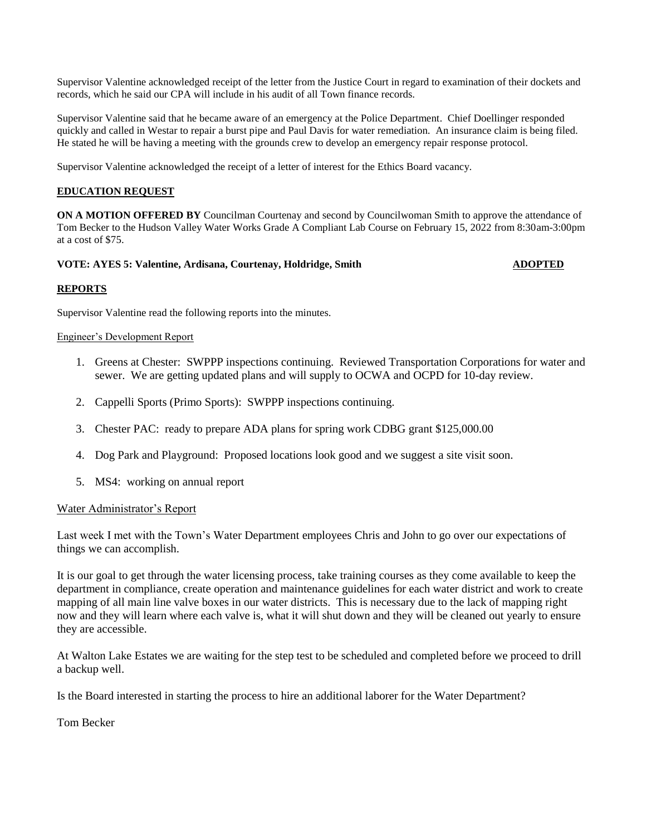Supervisor Valentine acknowledged receipt of the letter from the Justice Court in regard to examination of their dockets and records, which he said our CPA will include in his audit of all Town finance records.

Supervisor Valentine said that he became aware of an emergency at the Police Department. Chief Doellinger responded quickly and called in Westar to repair a burst pipe and Paul Davis for water remediation. An insurance claim is being filed. He stated he will be having a meeting with the grounds crew to develop an emergency repair response protocol.

Supervisor Valentine acknowledged the receipt of a letter of interest for the Ethics Board vacancy.

# **EDUCATION REQUEST**

**ON A MOTION OFFERED BY** Councilman Courtenay and second by Councilwoman Smith to approve the attendance of Tom Becker to the Hudson Valley Water Works Grade A Compliant Lab Course on February 15, 2022 from 8:30am-3:00pm at a cost of \$75.

### **VOTE: AYES 5: Valentine, Ardisana, Courtenay, Holdridge, Smith ADOPTED ADOPTED**

### **REPORTS**

Supervisor Valentine read the following reports into the minutes.

### Engineer's Development Report

- 1. Greens at Chester: SWPPP inspections continuing. Reviewed Transportation Corporations for water and sewer. We are getting updated plans and will supply to OCWA and OCPD for 10-day review.
- 2. Cappelli Sports (Primo Sports): SWPPP inspections continuing.
- 3. Chester PAC: ready to prepare ADA plans for spring work CDBG grant \$125,000.00
- 4. Dog Park and Playground: Proposed locations look good and we suggest a site visit soon.
- 5. MS4: working on annual report

# Water Administrator's Report

Last week I met with the Town's Water Department employees Chris and John to go over our expectations of things we can accomplish.

It is our goal to get through the water licensing process, take training courses as they come available to keep the department in compliance, create operation and maintenance guidelines for each water district and work to create mapping of all main line valve boxes in our water districts. This is necessary due to the lack of mapping right now and they will learn where each valve is, what it will shut down and they will be cleaned out yearly to ensure they are accessible.

At Walton Lake Estates we are waiting for the step test to be scheduled and completed before we proceed to drill a backup well.

Is the Board interested in starting the process to hire an additional laborer for the Water Department?

Tom Becker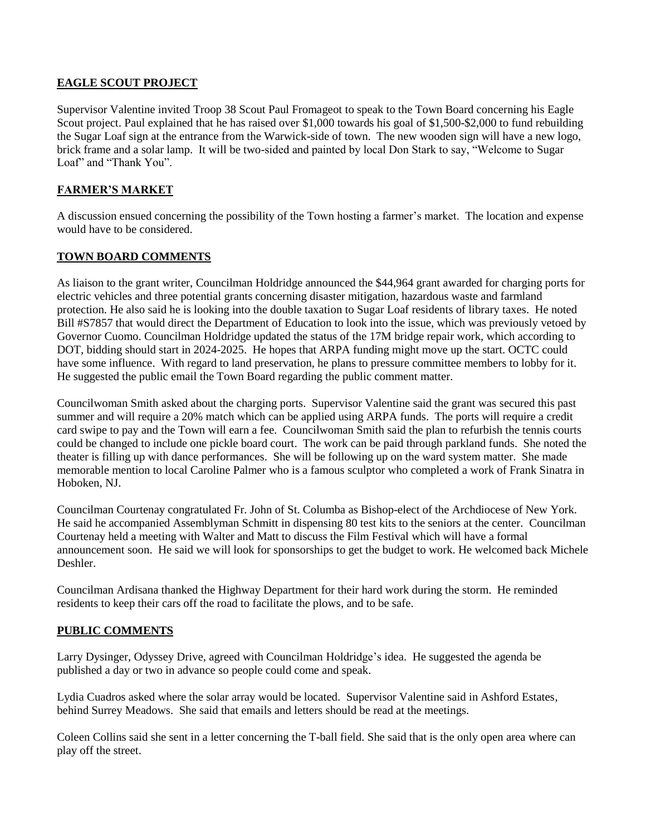# **EAGLE SCOUT PROJECT**

Supervisor Valentine invited Troop 38 Scout Paul Fromageot to speak to the Town Board concerning his Eagle Scout project. Paul explained that he has raised over \$1,000 towards his goal of \$1,500-\$2,000 to fund rebuilding the Sugar Loaf sign at the entrance from the Warwick-side of town. The new wooden sign will have a new logo, brick frame and a solar lamp. It will be two-sided and painted by local Don Stark to say, "Welcome to Sugar Loaf" and "Thank You".

# **FARMER'S MARKET**

A discussion ensued concerning the possibility of the Town hosting a farmer's market. The location and expense would have to be considered.

# **TOWN BOARD COMMENTS**

As liaison to the grant writer, Councilman Holdridge announced the \$44,964 grant awarded for charging ports for electric vehicles and three potential grants concerning disaster mitigation, hazardous waste and farmland protection. He also said he is looking into the double taxation to Sugar Loaf residents of library taxes. He noted Bill #S7857 that would direct the Department of Education to look into the issue, which was previously vetoed by Governor Cuomo. Councilman Holdridge updated the status of the 17M bridge repair work, which according to DOT, bidding should start in 2024-2025. He hopes that ARPA funding might move up the start. OCTC could have some influence. With regard to land preservation, he plans to pressure committee members to lobby for it. He suggested the public email the Town Board regarding the public comment matter.

Councilwoman Smith asked about the charging ports. Supervisor Valentine said the grant was secured this past summer and will require a 20% match which can be applied using ARPA funds. The ports will require a credit card swipe to pay and the Town will earn a fee. Councilwoman Smith said the plan to refurbish the tennis courts could be changed to include one pickle board court. The work can be paid through parkland funds. She noted the theater is filling up with dance performances. She will be following up on the ward system matter. She made memorable mention to local Caroline Palmer who is a famous sculptor who completed a work of Frank Sinatra in Hoboken, NJ.

Councilman Courtenay congratulated Fr. John of St. Columba as Bishop-elect of the Archdiocese of New York. He said he accompanied Assemblyman Schmitt in dispensing 80 test kits to the seniors at the center. Councilman Courtenay held a meeting with Walter and Matt to discuss the Film Festival which will have a formal announcement soon. He said we will look for sponsorships to get the budget to work. He welcomed back Michele Deshler.

Councilman Ardisana thanked the Highway Department for their hard work during the storm. He reminded residents to keep their cars off the road to facilitate the plows, and to be safe.

# **PUBLIC COMMENTS**

Larry Dysinger, Odyssey Drive, agreed with Councilman Holdridge's idea. He suggested the agenda be published a day or two in advance so people could come and speak.

Lydia Cuadros asked where the solar array would be located. Supervisor Valentine said in Ashford Estates, behind Surrey Meadows. She said that emails and letters should be read at the meetings.

Coleen Collins said she sent in a letter concerning the T-ball field. She said that is the only open area where can play off the street.